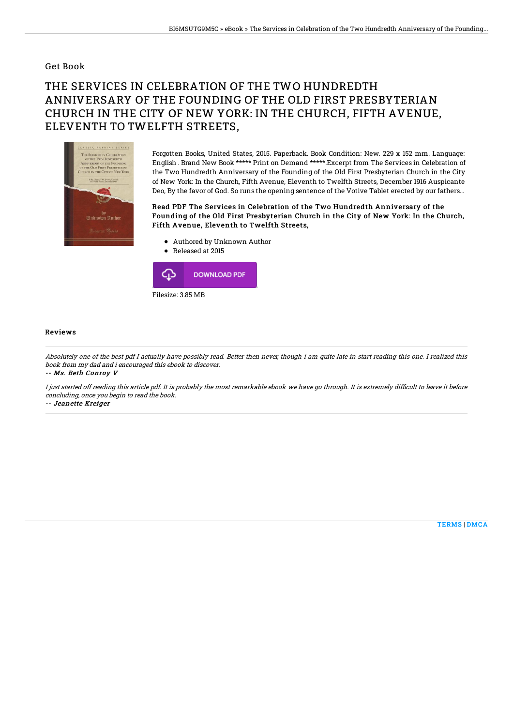### Get Book

# THE SERVICES IN CELEBRATION OF THE TWO HUNDREDTH ANNIVERSARY OF THE FOUNDING OF THE OLD FIRST PRESBYTERIAN CHURCH IN THE CITY OF NEW YORK: IN THE CHURCH, FIFTH AVENUE, ELEVENTH TO TWELFTH STREETS,



Forgotten Books, United States, 2015. Paperback. Book Condition: New. 229 x 152 mm. Language: English . Brand New Book \*\*\*\*\* Print on Demand \*\*\*\*\*.Excerpt from The Services in Celebration of the Two Hundredth Anniversary of the Founding of the Old First Presbyterian Church in the City of New York: In the Church, Fifth Avenue, Eleventh to Twelfth Streets, December 1916 Auspicante Deo, By the favor of God. So runs the opening sentence of the Votive Tablet erected by our fathers...

#### Read PDF The Services in Celebration of the Two Hundredth Anniversary of the Founding of the Old First Presbyterian Church in the City of New York: In the Church, Fifth Avenue, Eleventh to Twelfth Streets,

- Authored by Unknown Author
- Released at 2015



#### Reviews

Absolutely one of the best pdf I actually have possibly read. Better then never, though i am quite late in start reading this one. I realized this book from my dad and i encouraged this ebook to discover.

-- Ms. Beth Conroy V

I just started off reading this article pdf. It is probably the most remarkable ebook we have go through. It is extremely difficult to leave it before concluding, once you begin to read the book.

-- Jeanette Kreiger